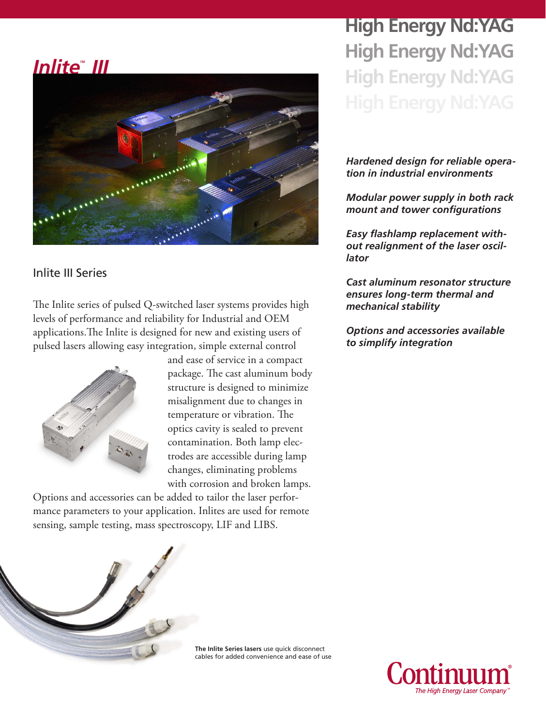## *InliteTM III*



## Inlite III Series

The Inlite series of pulsed Q-switched laser systems provides high levels of performance and reliability for Industrial and OEM applications.The Inlite is designed for new and existing users of pulsed lasers allowing easy integration, simple external control



and ease of service in a compact package. The cast aluminum body structure is designed to minimize misalignment due to changes in temperature or vibration. The optics cavity is sealed to prevent contamination. Both lamp electrodes are accessible during lamp changes, eliminating problems with corrosion and broken lamps.

Options and accessories can be added to tailor the laser performance parameters to your application. Inlites are used for remote sensing, sample testing, mass spectroscopy, LIF and LIBS.

**High Energy Nd:YAG High Energy Nd:YAG High Energy Nd:YAG**

## *Hardened design for reliable operation in industrial environments*

*Modular power supply in both rack mount and tower configurations*

*Easy flashlamp replacement without realignment of the laser oscillator*

*Cast aluminum resonator structure ensures long-term thermal and mechanical stability*

*Options and accessories available to simplify integration*



**The Inlite Series lasers** use quick disconnect cables for added convenience and ease of use

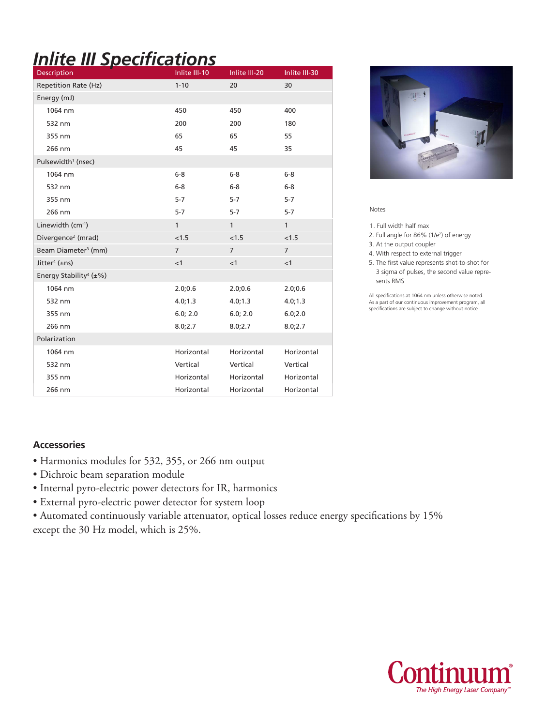# *Inlite III Specifications*

| <b>Description</b>                        | Inlite III-10  | Inlite III-20  | Inlite III-30  |
|-------------------------------------------|----------------|----------------|----------------|
| <b>Repetition Rate (Hz)</b>               | $1 - 10$       | 20             | 30             |
| Energy (mJ)                               |                |                |                |
| 1064 nm                                   | 450            | 450            | 400            |
| 532 nm                                    | 200            | 200            | 180            |
| 355 nm                                    | 65             | 65             | 55             |
| 266 nm                                    | 45             | 45             | 35             |
| Pulsewidth <sup>1</sup> (nsec)            |                |                |                |
| 1064 nm                                   | $6-8$          | $6-8$          | $6-8$          |
| 532 nm                                    | $6-8$          | $6-8$          | $6-8$          |
| 355 nm                                    | $5 - 7$        | $5 - 7$        | $5 - 7$        |
| 266 nm                                    | $5 - 7$        | $5-7$          | $5 - 7$        |
| Linewidth (cm-1)                          | 1              | $\mathbf{1}$   | $\mathbf{1}$   |
| Divergence <sup>2</sup> (mrad)            | < 1.5          | < 1.5          | < 1.5          |
| Beam Diameter <sup>3</sup> (mm)           | $\overline{7}$ | $\overline{7}$ | $\overline{7}$ |
| Jitter <sup>4</sup> ( $\pm$ ns)           | <1             | $\leq$ 1       | <1             |
| Energy Stability <sup>4</sup> ( $\pm\%$ ) |                |                |                |
| 1064 nm                                   | 2.0;0.6        | 2.0;0.6        | 2.0;0.6        |
| 532 nm                                    | 4.0; 1.3       | 4.0; 1.3       | 4.0; 1.3       |
| 355 nm                                    | 6.0; 2.0       | 6.0; 2.0       | 6.0;2.0        |
| 266 nm                                    | 8.0;2.7        | 8.0;2.7        | 8.0;2.7        |
| Polarization                              |                |                |                |
| 1064 nm                                   | Horizontal     | Horizontal     | Horizontal     |
| 532 nm                                    | Vertical       | Vertical       | Vertical       |
| 355 nm                                    | Horizontal     | Horizontal     | Horizontal     |
| 266 nm                                    | Horizontal     | Horizontal     | Horizontal     |



Notes

1. Full width half max

2. Full angle for 86% (1/e2 ) of energy

3. At the output coupler

4. With respect to external trigger

5. The first value represents shot-to-shot for 3 sigma of pulses, the second value repre sents RMS

All specifications at 1064 nm unless otherwise noted. As a part of our continuous improvement program, all specifications are subject to change without notice.

### **Accessories**

- Harmonics modules for 532, 355, or 266 nm output
- Dichroic beam separation module
- Internal pyro-electric power detectors for IR, harmonics
- External pyro-electric power detector for system loop

• Automated continuously variable attenuator, optical losses reduce energy specifications by 15% except the 30 Hz model, which is 25%.